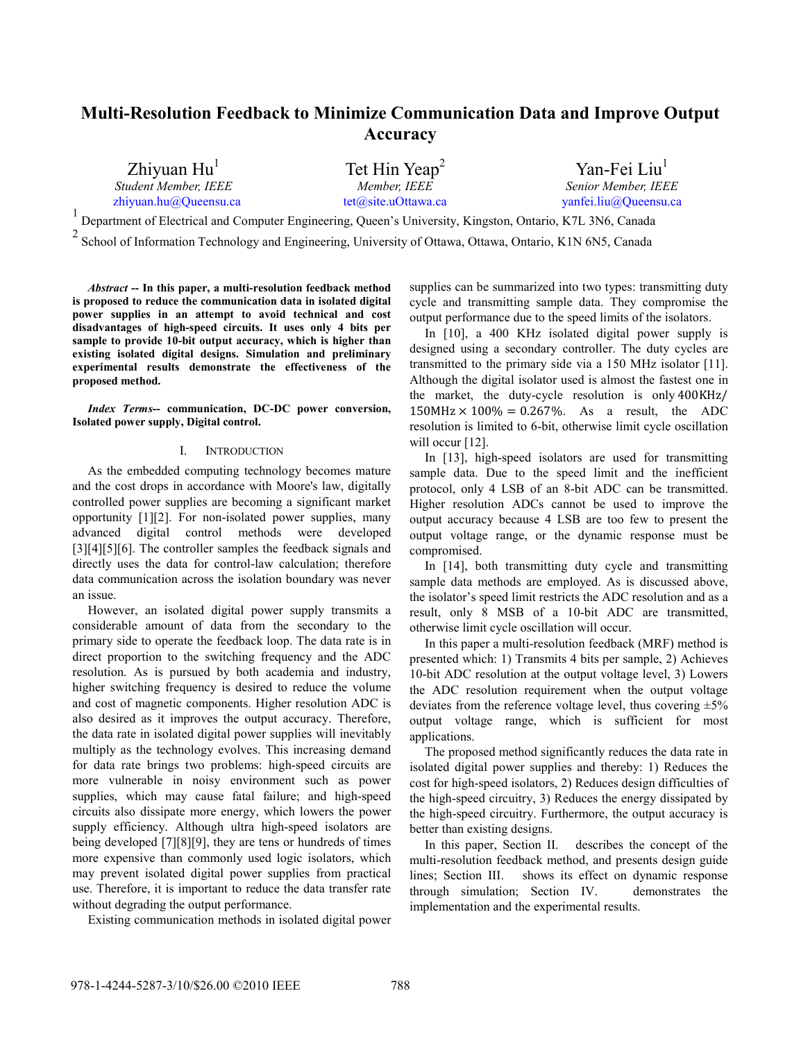# **Multi-Resolution Feedback to Minimize Communication Data and Improve Output Accuracy**

Zhiyuan  $Hu<sup>1</sup>$ *Student Member, IEEE*  zhiyuan.hu@Queensu.ca

Tet Hin Yeap<sup>2</sup> *Member, IEEE*  tet@site.uOttawa.ca

Yan-Fei Liu<sup>1</sup> *Senior Member, IEEE*  yanfei.liu@Queensu.ca

1 Department of Electrical and Computer Engineering, Queen's University, Kingston, Ontario, K7L 3N6, Canada

<sup>2</sup> School of Information Technology and Engineering, University of Ottawa, Ottawa, Ontario, K1N 6N5, Canada

*Abstract* **-- In this paper, a multi-resolution feedback method is proposed to reduce the communication data in isolated digital power supplies in an attempt to avoid technical and cost disadvantages of high-speed circuits. It uses only 4 bits per sample to provide 10-bit output accuracy, which is higher than existing isolated digital designs. Simulation and preliminary experimental results demonstrate the effectiveness of the proposed method.** 

*Index Terms***-- communication, DC-DC power conversion, Isolated power supply, Digital control.** 

## I. INTRODUCTION

As the embedded computing technology becomes mature and the cost drops in accordance with Moore's law, digitally controlled power supplies are becoming a significant market opportunity [1][2]. For non-isolated power supplies, many advanced digital control methods were developed [3][4][5][6]. The controller samples the feedback signals and directly uses the data for control-law calculation; therefore data communication across the isolation boundary was never an issue.

However, an isolated digital power supply transmits a considerable amount of data from the secondary to the primary side to operate the feedback loop. The data rate is in direct proportion to the switching frequency and the ADC resolution. As is pursued by both academia and industry, higher switching frequency is desired to reduce the volume and cost of magnetic components. Higher resolution ADC is also desired as it improves the output accuracy. Therefore, the data rate in isolated digital power supplies will inevitably multiply as the technology evolves. This increasing demand for data rate brings two problems: high-speed circuits are more vulnerable in noisy environment such as power supplies, which may cause fatal failure; and high-speed circuits also dissipate more energy, which lowers the power supply efficiency. Although ultra high-speed isolators are being developed [7][8][9], they are tens or hundreds of times more expensive than commonly used logic isolators, which may prevent isolated digital power supplies from practical use. Therefore, it is important to reduce the data transfer rate without degrading the output performance.

Existing communication methods in isolated digital power

supplies can be summarized into two types: transmitting duty cycle and transmitting sample data. They compromise the output performance due to the speed limits of the isolators.

In [10], a 400 KHz isolated digital power supply is designed using a secondary controller. The duty cycles are transmitted to the primary side via a 150 MHz isolator [11]. Although the digital isolator used is almost the fastest one in the market, the duty-cycle resolution is only 400KHz/  $150MHz \times 100\% = 0.267\%$ . As a result, the ADC resolution is limited to 6-bit, otherwise limit cycle oscillation will occur [12].

In [13], high-speed isolators are used for transmitting sample data. Due to the speed limit and the inefficient protocol, only 4 LSB of an 8-bit ADC can be transmitted. Higher resolution ADCs cannot be used to improve the output accuracy because 4 LSB are too few to present the output voltage range, or the dynamic response must be compromised.

In [14], both transmitting duty cycle and transmitting sample data methods are employed. As is discussed above, the isolator's speed limit restricts the ADC resolution and as a result, only 8 MSB of a 10-bit ADC are transmitted, otherwise limit cycle oscillation will occur.

In this paper a multi-resolution feedback (MRF) method is presented which: 1) Transmits 4 bits per sample, 2) Achieves 10-bit ADC resolution at the output voltage level, 3) Lowers the ADC resolution requirement when the output voltage deviates from the reference voltage level, thus covering  $\pm 5\%$ output voltage range, which is sufficient for most applications.

The proposed method significantly reduces the data rate in isolated digital power supplies and thereby: 1) Reduces the cost for high-speed isolators, 2) Reduces design difficulties of the high-speed circuitry, 3) Reduces the energy dissipated by the high-speed circuitry. Furthermore, the output accuracy is better than existing designs.

In this paper, Section II. describes the concept of the multi-resolution feedback method, and presents design guide lines; Section III. shows its effect on dynamic response through simulation; Section IV. demonstrates the implementation and the experimental results.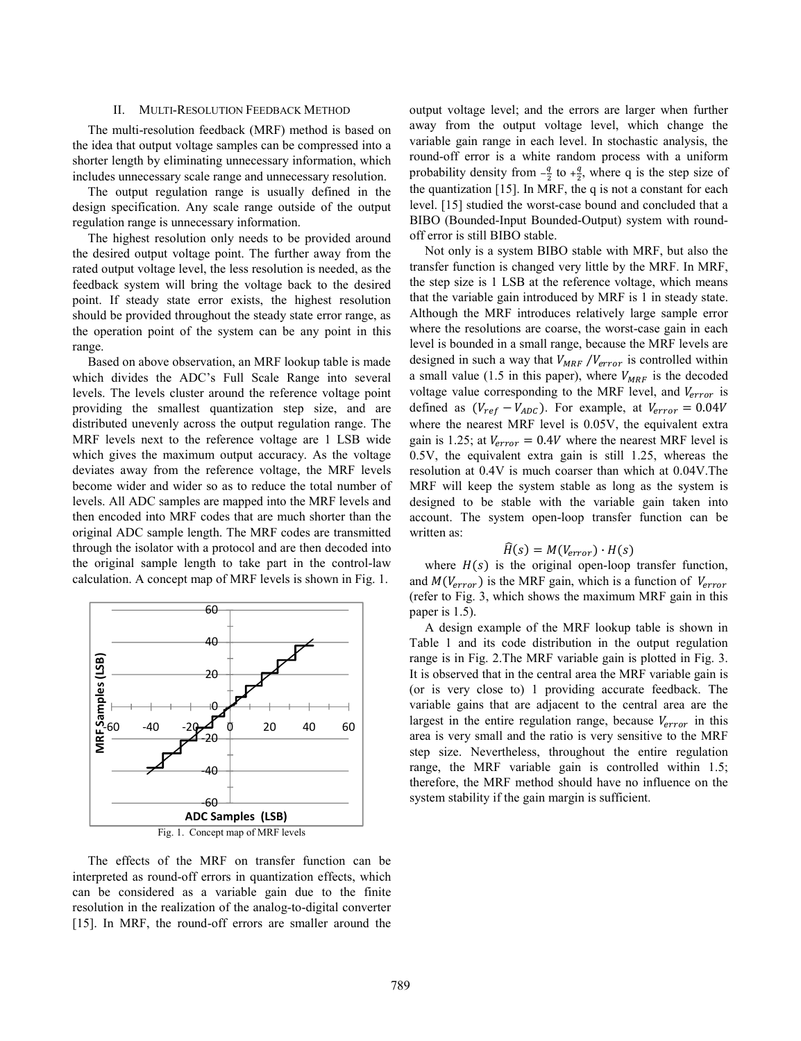#### II. MULTI-RESOLUTION FEEDBACK METHOD

The multi-resolution feedback (MRF) method is based on the idea that output voltage samples can be compressed into a shorter length by eliminating unnecessary information, which includes unnecessary scale range and unnecessary resolution.

The output regulation range is usually defined in the design specification. Any scale range outside of the output regulation range is unnecessary information.

The highest resolution only needs to be provided around the desired output voltage point. The further away from the rated output voltage level, the less resolution is needed, as the feedback system will bring the voltage back to the desired point. If steady state error exists, the highest resolution should be provided throughout the steady state error range, as the operation point of the system can be any point in this range.

Based on above observation, an MRF lookup table is made which divides the ADC's Full Scale Range into several levels. The levels cluster around the reference voltage point providing the smallest quantization step size, and are distributed unevenly across the output regulation range. The MRF levels next to the reference voltage are 1 LSB wide which gives the maximum output accuracy. As the voltage deviates away from the reference voltage, the MRF levels become wider and wider so as to reduce the total number of levels. All ADC samples are mapped into the MRF levels and then encoded into MRF codes that are much shorter than the original ADC sample length. The MRF codes are transmitted through the isolator with a protocol and are then decoded into the original sample length to take part in the control-law calculation. A concept map of MRF levels is shown in Fig. 1.



The effects of the MRF on transfer function can be interpreted as round-off errors in quantization effects, which can be considered as a variable gain due to the finite resolution in the realization of the analog-to-digital converter [15]. In MRF, the round-off errors are smaller around the

output voltage level; and the errors are larger when further away from the output voltage level, which change the variable gain range in each level. In stochastic analysis, the round-off error is a white random process with a uniform probability density from  $-\frac{q}{2}$  to  $+\frac{q}{2}$ , where q is the step size of the quantization [15]. In MRF, the q is not a constant for each level. [15] studied the worst-case bound and concluded that a BIBO (Bounded-Input Bounded-Output) system with roundoff error is still BIBO stable.

Not only is a system BIBO stable with MRF, but also the transfer function is changed very little by the MRF. In MRF, the step size is 1 LSB at the reference voltage, which means that the variable gain introduced by MRF is 1 in steady state. Although the MRF introduces relatively large sample error where the resolutions are coarse, the worst-case gain in each level is bounded in a small range, because the MRF levels are designed in such a way that  $V_{MRF}$  / $V_{error}$  is controlled within a small value (1.5 in this paper), where  $V_{MRF}$  is the decoded voltage value corresponding to the MRF level, and  $V_{error}$  is defined as  $(V_{ref} - V_{ADC})$ . For example, at  $V_{error} = 0.04V$ where the nearest MRF level is 0.05V, the equivalent extra gain is 1.25; at  $V_{error} = 0.4V$  where the nearest MRF level is 0.5V, the equivalent extra gain is still 1.25, whereas the resolution at 0.4V is much coarser than which at 0.04V.The MRF will keep the system stable as long as the system is designed to be stable with the variable gain taken into account. The system open-loop transfer function can be written as:

## $\widehat{H}(s) = M(V_{error}) \cdot H(s)$

where  $H(s)$  is the original open-loop transfer function, and  $M(V_{error})$  is the MRF gain, which is a function of  $V_{error}$ (refer to Fig. 3, which shows the maximum MRF gain in this paper is 1.5).

A design example of the MRF lookup table is shown in Table 1 and its code distribution in the output regulation range is in Fig. 2.The MRF variable gain is plotted in Fig. 3. It is observed that in the central area the MRF variable gain is (or is very close to) 1 providing accurate feedback. The variable gains that are adjacent to the central area are the largest in the entire regulation range, because  $V_{error}$  in this area is very small and the ratio is very sensitive to the MRF step size. Nevertheless, throughout the entire regulation range, the MRF variable gain is controlled within 1.5; therefore, the MRF method should have no influence on the system stability if the gain margin is sufficient.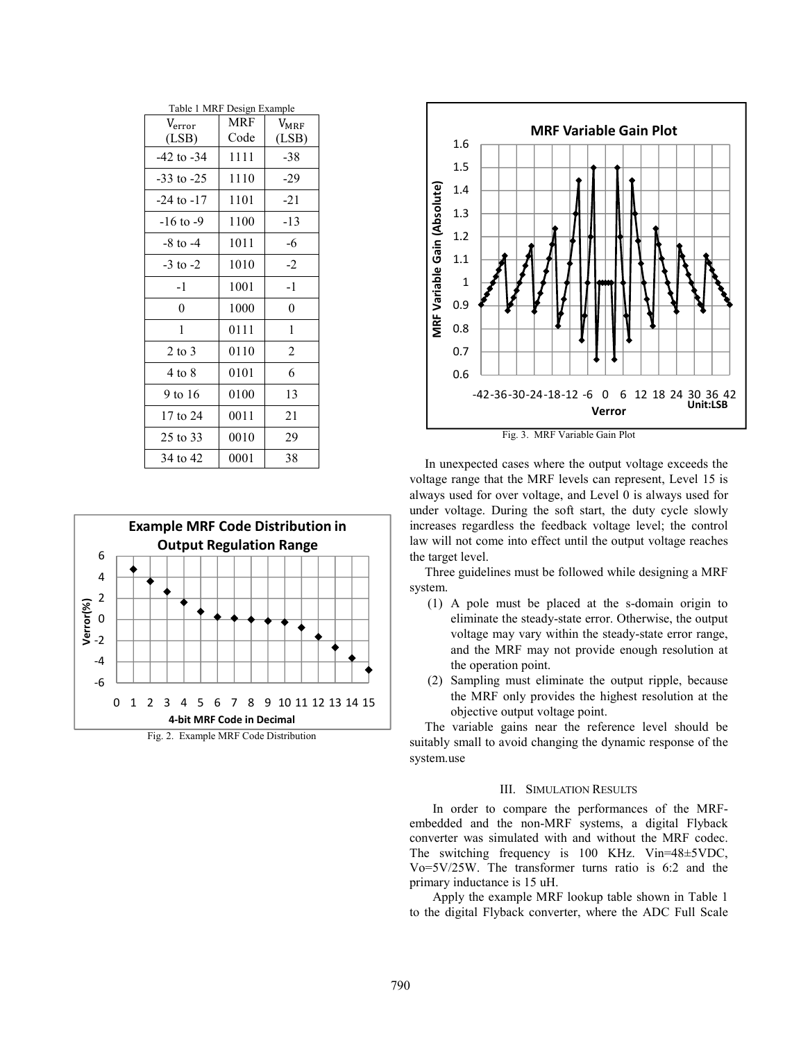| Table 1 MRF Design Example |            |                |  |  |  |  |
|----------------------------|------------|----------------|--|--|--|--|
| $V_{\rm error}$            | <b>MRF</b> | $V_{MRF}$      |  |  |  |  |
| (LSB)                      | Code       | (LSB)          |  |  |  |  |
| $-42$ to $-34$             | 1111       | $-38$          |  |  |  |  |
| $-33$ to $-25$             | 1110       | $-29$          |  |  |  |  |
| $-24$ to $-17$             | 1101       | $-21$          |  |  |  |  |
| $-16$ to $-9$              | 1100       | -13            |  |  |  |  |
| $-8$ to $-4$               | 1011       | -6             |  |  |  |  |
| $-3$ to $-2$               | 1010       | $-2$           |  |  |  |  |
| $-1$                       | 1001       | $-1$           |  |  |  |  |
| $\overline{0}$             | 1000       | 0              |  |  |  |  |
| 1                          | 0111       | 1              |  |  |  |  |
| $2$ to $3$                 | 0110       | $\overline{2}$ |  |  |  |  |
| 4 to 8                     | 0101       | 6              |  |  |  |  |
| 9 to 16                    | 0100       | 13             |  |  |  |  |
| 17 to 24                   | 0011       | 21             |  |  |  |  |
| 25 to 33                   | 0010       | 29             |  |  |  |  |
| 34 to 42                   | 0001       | 38             |  |  |  |  |



Fig. 2. Example MRF Code Distribution



Fig. 3. MRF Variable Gain Plot

In unexpected cases where the output voltage exceeds the voltage range that the MRF levels can represent, Level 15 is always used for over voltage, and Level 0 is always used for under voltage. During the soft start, the duty cycle slowly increases regardless the feedback voltage level; the control law will not come into effect until the output voltage reaches the target level.

Three guidelines must be followed while designing a MRF system.

- (1) A pole must be placed at the s-domain origin to eliminate the steady-state error. Otherwise, the output voltage may vary within the steady-state error range, and the MRF may not provide enough resolution at the operation point.
- (2) Sampling must eliminate the output ripple, because the MRF only provides the highest resolution at the objective output voltage point.

The variable gains near the reference level should be suitably small to avoid changing the dynamic response of the system.use

### III. SIMULATION RESULTS

In order to compare the performances of the MRFembedded and the non-MRF systems, a digital Flyback converter was simulated with and without the MRF codec. The switching frequency is 100 KHz. Vin=48±5VDC, Vo=5V/25W. The transformer turns ratio is 6:2 and the primary inductance is 15 uH.

Apply the example MRF lookup table shown in Table 1 to the digital Flyback converter, where the ADC Full Scale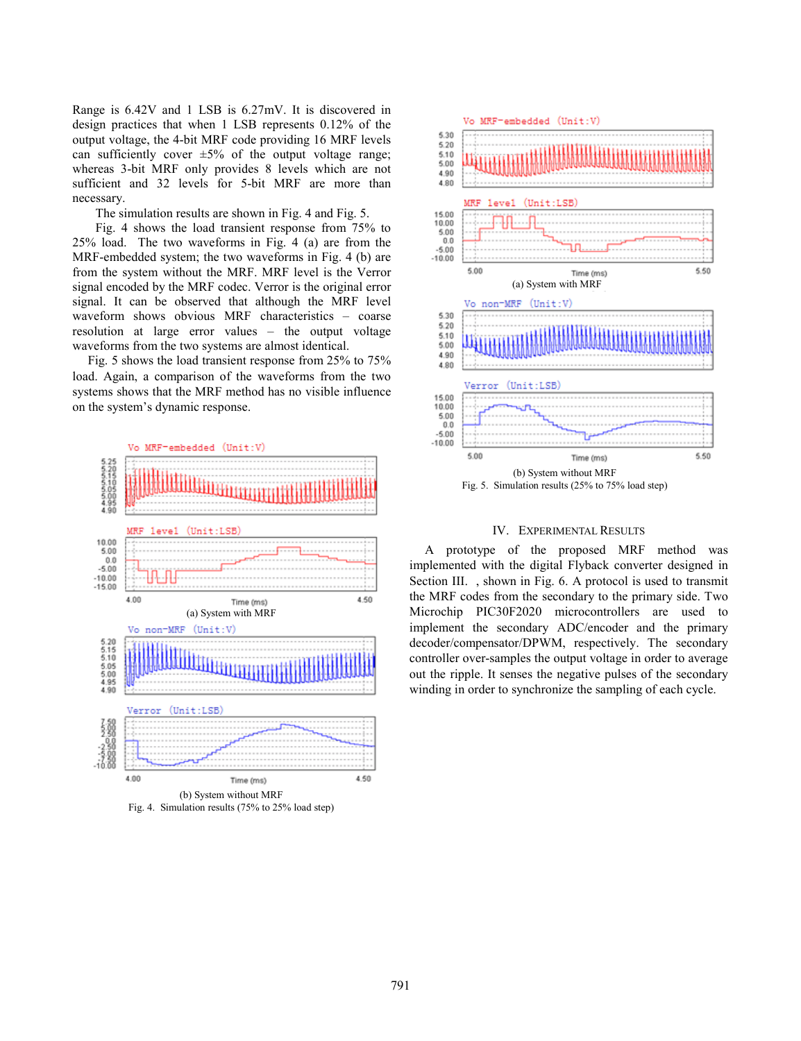Range is 6.42V and 1 LSB is 6.27mV. It is discovered in design practices that when 1 LSB represents 0.12% of the output voltage, the 4-bit MRF code providing 16 MRF levels can sufficiently cover  $\pm 5\%$  of the output voltage range; whereas 3-bit MRF only provides 8 levels which are not sufficient and 32 levels for 5-bit MRF are more than necessary.

The simulation results are shown in Fig. 4 and Fig. 5.

Fig. 4 shows the load transient response from 75% to 25% load. The two waveforms in Fig. 4 (a) are from the MRF-embedded system; the two waveforms in Fig. 4 (b) are from the system without the MRF. MRF level is the Verror signal encoded by the MRF codec. Verror is the original error signal. It can be observed that although the MRF level waveform shows obvious MRF characteristics – coarse resolution at large error values – the output voltage waveforms from the two systems are almost identical.

Fig. 5 shows the load transient response from 25% to 75% load. Again, a comparison of the waveforms from the two systems shows that the MRF method has no visible influence on the system's dynamic response.







#### IV. EXPERIMENTAL RESULTS

A prototype of the proposed MRF method was implemented with the digital Flyback converter designed in Section III. , shown in Fig. 6. A protocol is used to transmit the MRF codes from the secondary to the primary side. Two Microchip PIC30F2020 microcontrollers are used to implement the secondary ADC/encoder and the primary decoder/compensator/DPWM, respectively. The secondary controller over-samples the output voltage in order to average out the ripple. It senses the negative pulses of the secondary winding in order to synchronize the sampling of each cycle.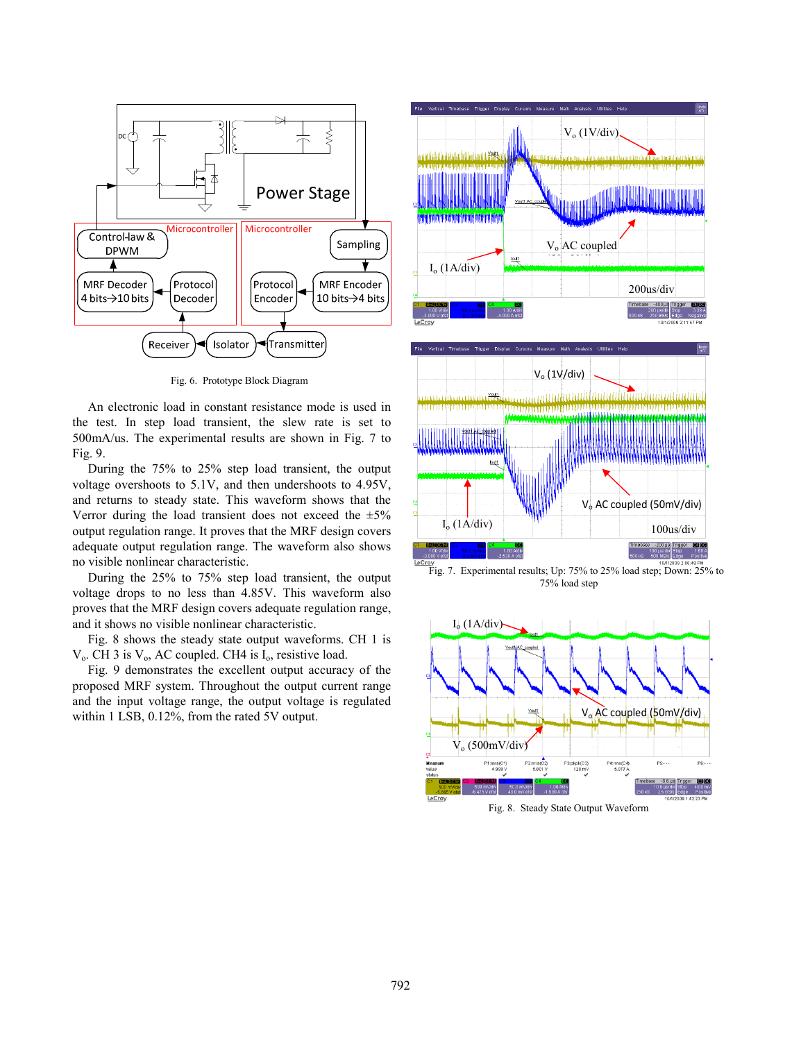

Fig. 6. Prototype Block Diagram

An electronic load in constant resistance mode is used in the test. In step load transient, the slew rate is set to 500mA/us. The experimental results are shown in Fig. 7 to Fig. 9.

During the 75% to 25% step load transient, the output voltage overshoots to 5.1V, and then undershoots to 4.95V, and returns to steady state. This waveform shows that the Verror during the load transient does not exceed the  $\pm 5\%$ output regulation range. It proves that the MRF design covers adequate output regulation range. The waveform also shows no visible nonlinear characteristic.

During the 25% to 75% step load transient, the output voltage drops to no less than 4.85V. This waveform also proves that the MRF design covers adequate regulation range, and it shows no visible nonlinear characteristic.

Fig. 8 shows the steady state output waveforms. CH 1 is  $V<sub>o</sub>$ . CH 3 is  $V<sub>o</sub>$ , AC coupled. CH4 is  $I<sub>o</sub>$ , resistive load.

Fig. 9 demonstrates the excellent output accuracy of the proposed MRF system. Throughout the output current range and the input voltage range, the output voltage is regulated within 1 LSB, 0.12%, from the rated 5V output.



Fig. 7. Experimental results; Up: 75% to 25% load step; Down: 25% to 75% load step



Fig. 8. Steady State Output Waveform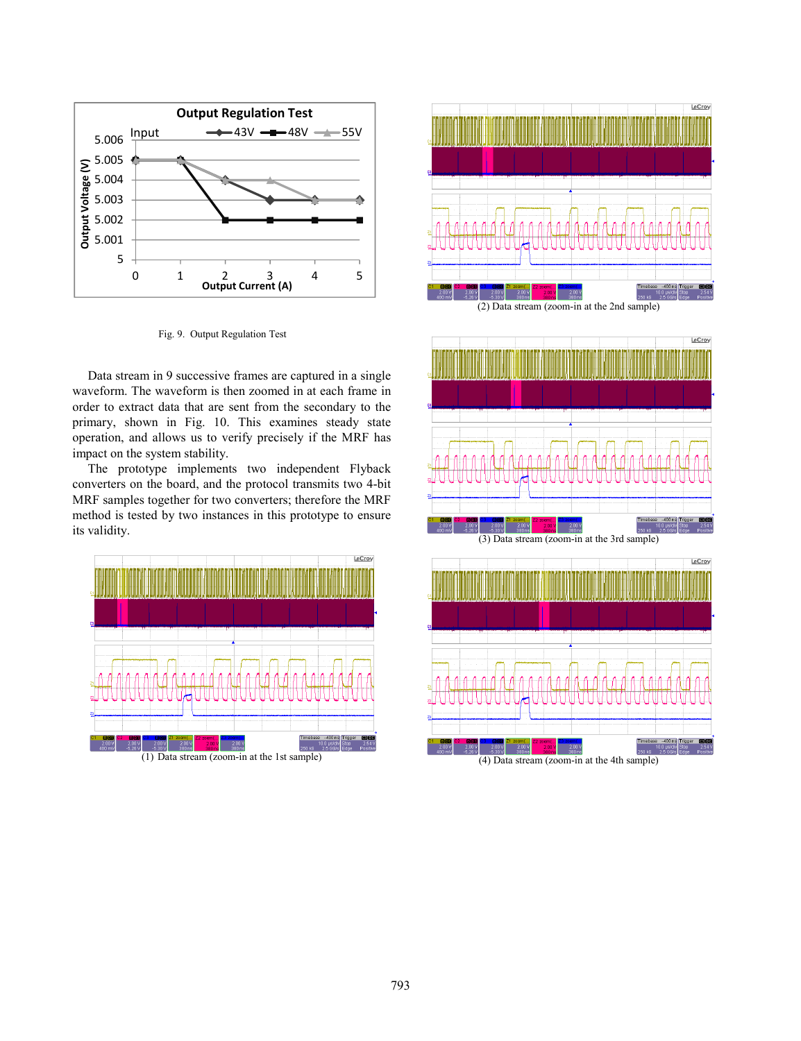

Fig. 9. Output Regulation Test

Data stream in 9 successive frames are captured in a single waveform. The waveform is then zoomed in at each frame in order to extract data that are sent from the secondary to the primary, shown in Fig. 10. This examines steady state operation, and allows us to verify precisely if the MRF has impact on the system stability.

The prototype implements two independent Flyback converters on the board, and the protocol transmits two 4-bit MRF samples together for two converters; therefore the MRF method is tested by two instances in this prototype to ensure its validity.







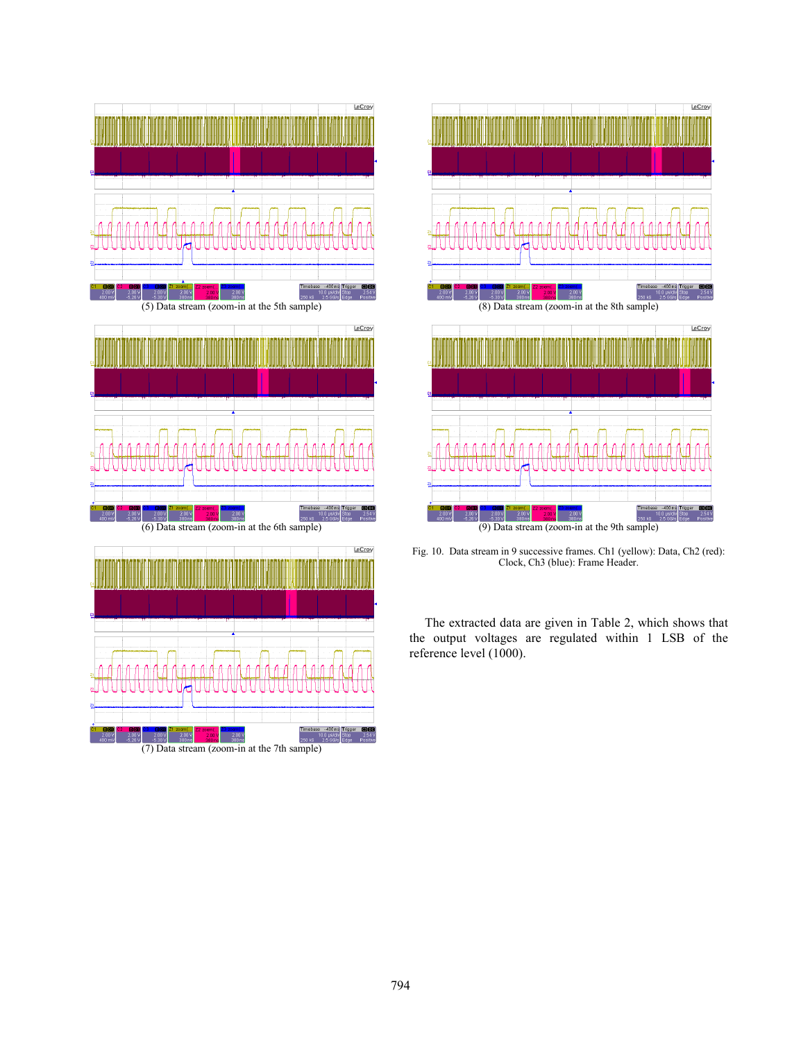



ebase 400ms Trigger<br>10.0 us/div Stop 10.0<br>11.0 16.000 February 2544 21 20 0 11 2.00 V<br>380 ns (9) Data stream (zoom-in at the 9th sample)

 $2.00\,\mathrm{V}$ 

Fig. 10. Data stream in 9 successive frames. Ch1 (yellow): Data, Ch2 (red): Clock, Ch3 (blue): Frame Header.

The extracted data are given in Table 2, which shows that the output voltages are regulated within 1 LSB of the reference level (1000).